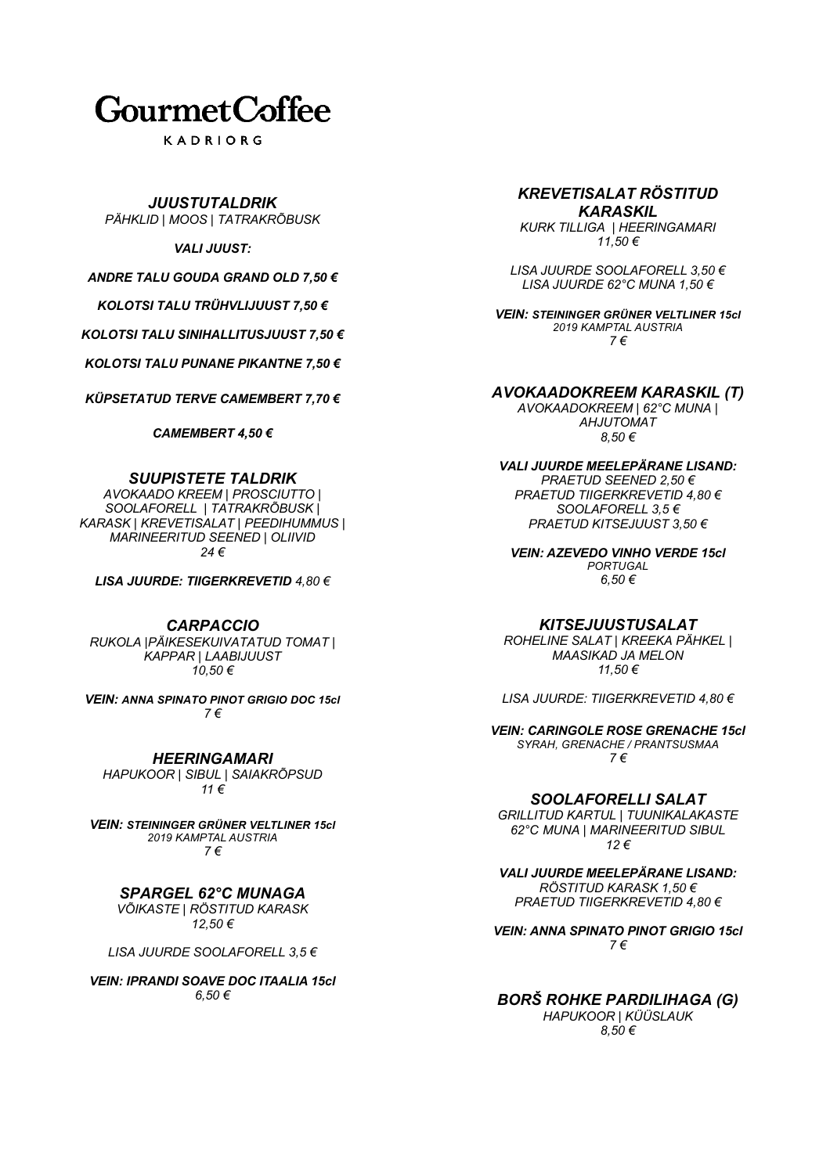# **GourmetCoffee**

KADRIORG

# *JUUSTUTALDRIK*

*PÄHKLID | MOOS | TATRAKRÕBUSK*

# *VALI JUUST:*

*ANDRE TALU GOUDA GRAND OLD 7,50 €*

*KOLOTSI TALU TRÜHVLIJUUST 7,50 €*

*KOLOTSI TALU SINIHALLITUSJUUST 7,50 €*

*KOLOTSI TALU PUNANE PIKANTNE 7,50 €*

*KÜPSETATUD TERVE CAMEMBERT 7,70 €*

*CAMEMBERT 4,50 €*

# *SUUPISTETE TALDRIK*

*AVOKAADO KREEM | PROSCIUTTO | SOOLAFORELL | TATRAKRÕBUSK | KARASK | KREVETISALAT | PEEDIHUMMUS | MARINEERITUD SEENED | OLIIVID 24 €*

*LISA JUURDE: TIIGERKREVETID 4,80 €*

# *CARPACCIO*

*RUKOLA |PÄIKESEKUIVATATUD TOMAT | KAPPAR | LAABIJUUST 10,50 €*

*VEIN: ANNA SPINATO PINOT GRIGIO DOC 15cl 7 €*

*HEERINGAMARI HAPUKOOR | SIBUL | SAIAKRÕPSUD 11 €*

*VEIN: STEININGER GRÜNER VELTLINER 15cl 2019 KAMPTAL AUSTRIA 7 €*

# *SPARGEL 62°C MUNAGA*

*VÕIKASTE | RÖSTITUD KARASK 12,50 €*

*LISA JUURDE SOOLAFORELL 3,5 €*

*VEIN: IPRANDI SOAVE DOC ITAALIA 15cl 6,50 €*

### *KREVETISALAT RÖSTITUD KARASKIL*

*KURK TILLIGA | HEERINGAMARI 11,50 €*

*LISA JUURDE SOOLAFORELL 3,50 € LISA JUURDE 62°C MUNA 1,50 €*

*VEIN: STEININGER GRÜNER VELTLINER 15cl 2019 KAMPTAL AUSTRIA 7 €*

# *AVOKAADOKREEM KARASKIL (T)*

*AVOKAADOKREEM | 62°C MUNA | AHJUTOMAT 8,50 €*

*VALI JUURDE MEELEPÄRANE LISAND: PRAETUD SEENED 2,50 €* 

*PRAETUD TIIGERKREVETID 4,80 € SOOLAFORELL 3,5 € PRAETUD KITSEJUUST 3,50 €*

*VEIN: AZEVEDO VINHO VERDE 15cl PORTUGAL 6,50 €*

# *KITSEJUUSTUSALAT*

*ROHELINE SALAT | KREEKA PÄHKEL | MAASIKAD JA MELON 11,50 €*

*LISA JUURDE: TIIGERKREVETID 4,80 €*

*VEIN: CARINGOLE ROSE GRENACHE 15cl SYRAH, GRENACHE / PRANTSUSMAA 7 €*

# *SOOLAFORELLI SALAT*

*GRILLITUD KARTUL | TUUNIKALAKASTE 62°C MUNA | MARINEERITUD SIBUL 12 €*

*VALI JUURDE MEELEPÄRANE LISAND: RÖSTITUD KARASK 1,50 € PRAETUD TIIGERKREVETID 4,80 €*

*VEIN: ANNA SPINATO PINOT GRIGIO 15cl 7 €*

# *BORŠ ROHKE PARDILIHAGA (G)*

*HAPUKOOR | KÜÜSLAUK 8,50 €*